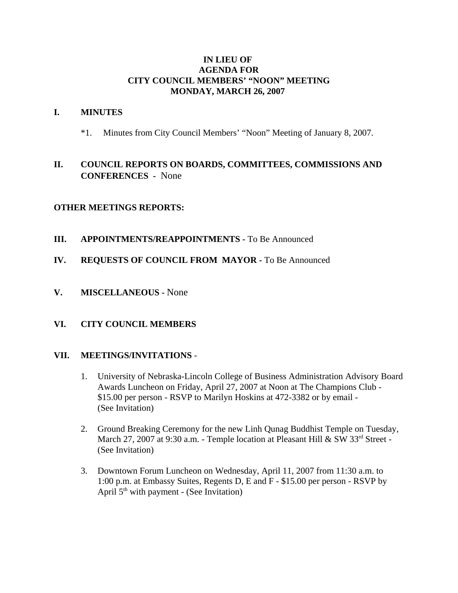### **IN LIEU OF AGENDA FOR CITY COUNCIL MEMBERS' "NOON" MEETING MONDAY, MARCH 26, 2007**

#### **I. MINUTES**

\*1. Minutes from City Council Members' "Noon" Meeting of January 8, 2007.

# **II. COUNCIL REPORTS ON BOARDS, COMMITTEES, COMMISSIONS AND CONFERENCES -** None

## **OTHER MEETINGS REPORTS:**

- **III.** APPOINTMENTS/REAPPOINTMENTS To Be Announced
- **IV. REQUESTS OF COUNCIL FROM MAYOR -** To Be Announced
- **V. MISCELLANEOUS** None

#### **VI. CITY COUNCIL MEMBERS**

#### **VII. MEETINGS/INVITATIONS** -

- 1. University of Nebraska-Lincoln College of Business Administration Advisory Board Awards Luncheon on Friday, April 27, 2007 at Noon at The Champions Club - \$15.00 per person - RSVP to Marilyn Hoskins at 472-3382 or by email - (See Invitation)
- 2. Ground Breaking Ceremony for the new Linh Qunag Buddhist Temple on Tuesday, March 27, 2007 at 9:30 a.m. - Temple location at Pleasant Hill & SW 33rd Street -(See Invitation)
- 3. Downtown Forum Luncheon on Wednesday, April 11, 2007 from 11:30 a.m. to 1:00 p.m. at Embassy Suites, Regents D, E and F - \$15.00 per person - RSVP by April  $5<sup>th</sup>$  with payment - (See Invitation)